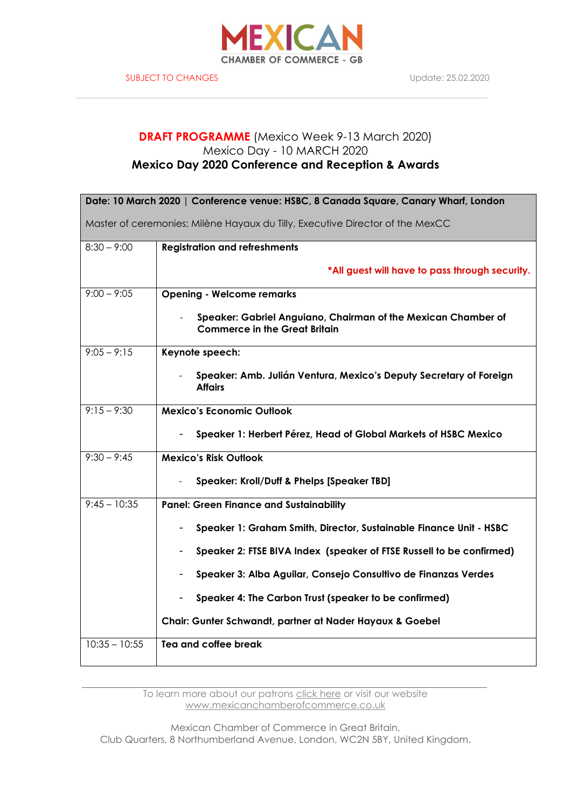

# **DRAFT PROGRAMME** (Mexico Week 9-13 March 2020) Mexico Day - 10 MARCH 2020 **Mexico Day 2020 Conference and Reception & Awards**

| Date: 10 March 2020   Conference venue: HSBC, 8 Canada Square, Canary Wharf, London |                                                                                                       |  |  |  |
|-------------------------------------------------------------------------------------|-------------------------------------------------------------------------------------------------------|--|--|--|
| Master of ceremonies: Milène Hayaux du Tilly, Executive Director of the MexCC       |                                                                                                       |  |  |  |
|                                                                                     |                                                                                                       |  |  |  |
| $8:30 - 9:00$                                                                       | <b>Registration and refreshments</b>                                                                  |  |  |  |
|                                                                                     | *All guest will have to pass through security.                                                        |  |  |  |
| $9:00 - 9:05$                                                                       | <b>Opening - Welcome remarks</b>                                                                      |  |  |  |
|                                                                                     | Speaker: Gabriel Anguiano, Chairman of the Mexican Chamber of<br><b>Commerce in the Great Britain</b> |  |  |  |
| $9:05 - 9:15$                                                                       | Keynote speech:                                                                                       |  |  |  |
|                                                                                     | Speaker: Amb. Julián Ventura, Mexico's Deputy Secretary of Foreign<br><b>Affairs</b>                  |  |  |  |
| $9:15 - 9:30$                                                                       | <b>Mexico's Economic Outlook</b>                                                                      |  |  |  |
|                                                                                     | Speaker 1: Herbert Pérez, Head of Global Markets of HSBC Mexico                                       |  |  |  |
| $9:30 - 9:45$                                                                       | <b>Mexico's Risk Outlook</b>                                                                          |  |  |  |
|                                                                                     | Speaker: Kroll/Duff & Phelps [Speaker TBD]                                                            |  |  |  |
| $9:45 - 10:35$                                                                      | <b>Panel: Green Finance and Sustainability</b>                                                        |  |  |  |
|                                                                                     | Speaker 1: Graham Smith, Director, Sustainable Finance Unit - HSBC                                    |  |  |  |
|                                                                                     | Speaker 2: FTSE BIVA Index (speaker of FTSE Russell to be confirmed)                                  |  |  |  |
|                                                                                     | Speaker 3: Alba Aguilar, Consejo Consultivo de Finanzas Verdes                                        |  |  |  |
|                                                                                     | Speaker 4: The Carbon Trust (speaker to be confirmed)                                                 |  |  |  |
|                                                                                     | Chair: Gunter Schwandt, partner at Nader Hayaux & Goebel                                              |  |  |  |
| $10:35 - 10:55$                                                                     | Tea and coffee break                                                                                  |  |  |  |
|                                                                                     |                                                                                                       |  |  |  |

To learn more about our patrons click [here](http://www.mexicanchamberofcommerce.co.uk/our-patrons.html) or visit our website [www.mexicanchamberofcommerce.co.uk](http://www.mexicanchamberofcommerce.co.uk/)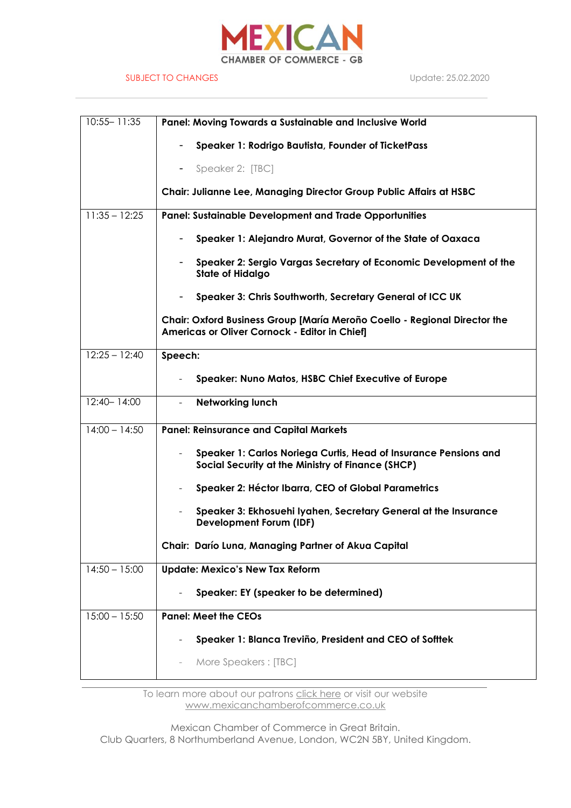

#### SUBJECT TO CHANGES Update: 25.02.2020

| $10:55 - 11:35$ | Panel: Moving Towards a Sustainable and Inclusive World                                                                    |  |  |
|-----------------|----------------------------------------------------------------------------------------------------------------------------|--|--|
|                 | Speaker 1: Rodrigo Bautista, Founder of TicketPass                                                                         |  |  |
|                 | Speaker 2: [TBC]<br>۰                                                                                                      |  |  |
|                 | <b>Chair: Julianne Lee, Managing Director Group Public Affairs at HSBC</b>                                                 |  |  |
| $11:35 - 12:25$ | <b>Panel: Sustainable Development and Trade Opportunities</b>                                                              |  |  |
|                 | Speaker 1: Alejandro Murat, Governor of the State of Oaxaca                                                                |  |  |
|                 | Speaker 2: Sergio Vargas Secretary of Economic Development of the<br>$\overline{\phantom{a}}$<br><b>State of Hidalgo</b>   |  |  |
|                 | Speaker 3: Chris Southworth, Secretary General of ICC UK<br>$-$                                                            |  |  |
|                 | Chair: Oxford Business Group [María Meroño Coello - Regional Director the<br>Americas or Oliver Cornock - Editor in Chief] |  |  |
| $12:25 - 12:40$ | Speech:                                                                                                                    |  |  |
|                 | <b>Speaker: Nuno Matos, HSBC Chief Executive of Europe</b>                                                                 |  |  |
| $12:40 - 14:00$ | <b>Networking lunch</b><br>$\overline{a}$                                                                                  |  |  |
| $14:00 - 14:50$ | <b>Panel: Reinsurance and Capital Markets</b>                                                                              |  |  |
|                 | Speaker 1: Carlos Noriega Curtis, Head of Insurance Pensions and<br>Social Security at the Ministry of Finance (SHCP)      |  |  |
|                 | Speaker 2: Héctor Ibarra, CEO of Global Parametrics                                                                        |  |  |
|                 | Speaker 3: Ekhosuehi Iyahen, Secretary General at the Insurance<br><b>Development Forum (IDF)</b>                          |  |  |
|                 | Chair: Darío Luna, Managing Partner of Akua Capital                                                                        |  |  |
| $14:50 - 15:00$ | <b>Update: Mexico's New Tax Reform</b>                                                                                     |  |  |
|                 | Speaker: EY (speaker to be determined)                                                                                     |  |  |
| $15:00 - 15:50$ | <b>Panel: Meet the CEOs</b>                                                                                                |  |  |
|                 | Speaker 1: Blanca Treviño, President and CEO of Softtek                                                                    |  |  |
|                 | More Speakers: [TBC]                                                                                                       |  |  |
|                 |                                                                                                                            |  |  |

To learn more about our patrons click [here](http://www.mexicanchamberofcommerce.co.uk/our-patrons.html) or visit our website [www.mexicanchamberofcommerce.co.uk](http://www.mexicanchamberofcommerce.co.uk/)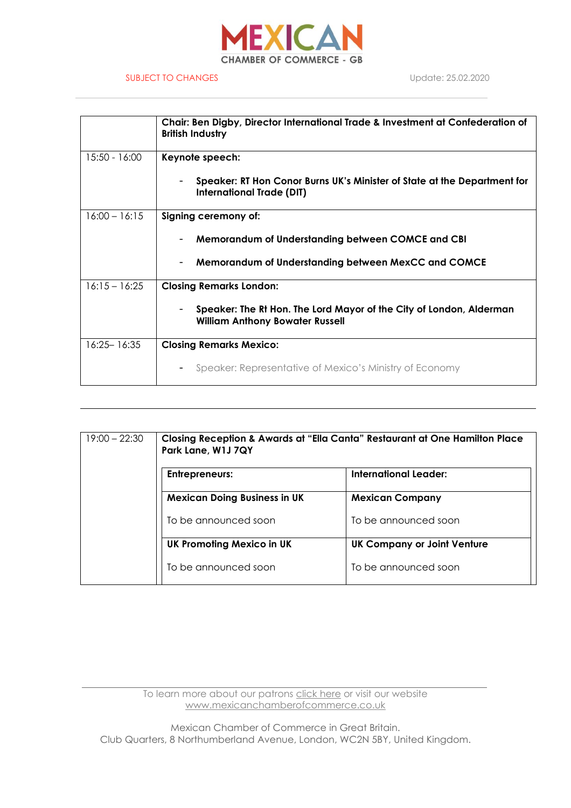

### SUBJECT TO CHANGES Update: 25.02.2020

|                 | Chair: Ben Digby, Director International Trade & Investment at Confederation of<br><b>British Industry</b>    |  |  |
|-----------------|---------------------------------------------------------------------------------------------------------------|--|--|
| 15:50 - 16:00   | Keynote speech:                                                                                               |  |  |
|                 | Speaker: RT Hon Conor Burns UK's Minister of State at the Department for<br><b>International Trade (DIT)</b>  |  |  |
| $16:00 - 16:15$ | Signing ceremony of:                                                                                          |  |  |
|                 | Memorandum of Understanding between COMCE and CBI                                                             |  |  |
|                 | Memorandum of Understanding between MexCC and COMCE                                                           |  |  |
| $16:15 - 16:25$ | <b>Closing Remarks London:</b>                                                                                |  |  |
|                 | Speaker: The Rt Hon. The Lord Mayor of the City of London, Alderman<br><b>William Anthony Bowater Russell</b> |  |  |
| $16:25 - 16:35$ | <b>Closing Remarks Mexico:</b>                                                                                |  |  |
|                 | Speaker: Representative of Mexico's Ministry of Economy                                                       |  |  |

| $19:00 - 22:30$ | Closing Reception & Awards at "Ella Canta" Restaurant at One Hamilton Place<br>Park Lane, W1J 7QY |                                    |  |
|-----------------|---------------------------------------------------------------------------------------------------|------------------------------------|--|
|                 | <b>Entrepreneurs:</b>                                                                             | International Leader:              |  |
|                 | <b>Mexican Doing Business in UK</b>                                                               | <b>Mexican Company</b>             |  |
|                 | To be announced soon                                                                              | To be announced soon               |  |
|                 | <b>UK Promoting Mexico in UK</b>                                                                  | <b>UK Company or Joint Venture</b> |  |
|                 | To be announced soon                                                                              | To be announced soon               |  |

To learn more about our patrons click [here](http://www.mexicanchamberofcommerce.co.uk/our-patrons.html) or visit our website [www.mexicanchamberofcommerce.co.uk](http://www.mexicanchamberofcommerce.co.uk/)